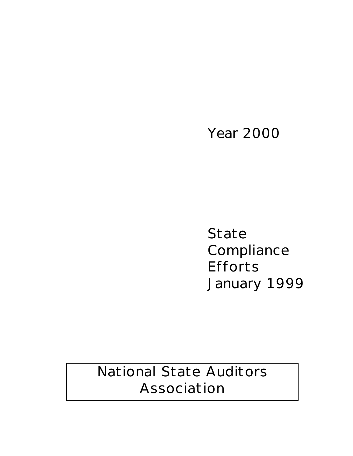# Year 2000

State Compliance Efforts January 1999

National State Auditors Association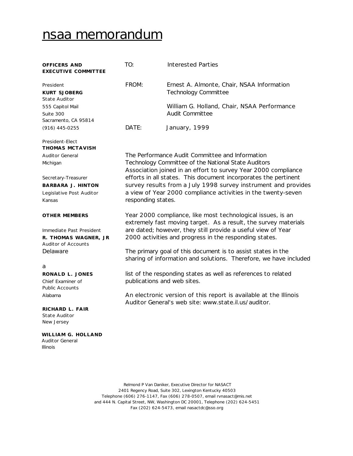# nsaa memorandum

| OFFICERS AND<br><b>EXECUTIVE COMMITTEE</b>                                     | TO:                | Interested Parties                                                                                                                |
|--------------------------------------------------------------------------------|--------------------|-----------------------------------------------------------------------------------------------------------------------------------|
| President<br><b>KURT SJOBERG</b><br><b>State Auditor</b>                       | FROM:              | Ernest A. Almonte, Chair, NSAA Information<br><b>Technology Committee</b>                                                         |
| 555 Capitol Mail<br>Suite 300                                                  |                    | William G. Holland, Chair, NSAA Performance<br><b>Audit Committee</b>                                                             |
| Sacramento, CA 95814                                                           |                    |                                                                                                                                   |
| $(916)$ 445-0255                                                               | DATE:              | January, 1999                                                                                                                     |
| President-Elect<br><b>THOMAS MCTAVISH</b>                                      |                    |                                                                                                                                   |
| <b>Auditor General</b>                                                         |                    | The Performance Audit Committee and Information                                                                                   |
| Michigan                                                                       |                    | Technology Committee of the National State Auditors<br>Association joined in an effort to survey Year 2000 compliance             |
| Secretary-Treasurer                                                            |                    | efforts in all states. This document incorporates the pertinent                                                                   |
| <b>BARBARA J. HINTON</b>                                                       |                    | survey results from a July 1998 survey instrument and provides                                                                    |
| Legislative Post Auditor                                                       |                    | a view of Year 2000 compliance activities in the twenty-seven                                                                     |
| Kansas                                                                         | responding states. |                                                                                                                                   |
| <b>OTHER MEMBERS</b>                                                           |                    | Year 2000 compliance, like most technological issues, is an<br>extremely fast moving target. As a result, the survey materials    |
| Immediate Past President<br>R. THOMAS WAGNER, JR<br><b>Auditor of Accounts</b> |                    | are dated; however, they still provide a useful view of Year<br>2000 activities and progress in the responding states.            |
| Delaware                                                                       |                    | The primary goal of this document is to assist states in the<br>sharing of information and solutions. Therefore, we have included |
| a                                                                              |                    |                                                                                                                                   |
| RONALD L. JONES                                                                |                    | list of the responding states as well as references to related                                                                    |
| Chief Examiner of<br><b>Public Accounts</b>                                    |                    | publications and web sites.                                                                                                       |
| Alabama                                                                        |                    | An electronic version of this report is available at the Illinois<br>Auditor General's web site: www.state.il.us/auditor.         |
| RICHARD L. FAIR<br><b>State Auditor</b><br>New Jersey                          |                    |                                                                                                                                   |
| WILLIAM G. HOLLAND<br><b>Auditor General</b><br><b>Illinois</b>                |                    |                                                                                                                                   |

Relmond P Van Daniker, Executive Director for NASACT 2401 Regency Road, Suite 302, Lexington Kentucky 40503 Telephone (606) 276-1147, Fax (606) 278-0507, email rvnasact@mis.net and 444 N. Capital Street, NW, Washington DC 20001, Telephone (202) 624-5451 Fax (202) 624-5473, email nasactdc@sso.org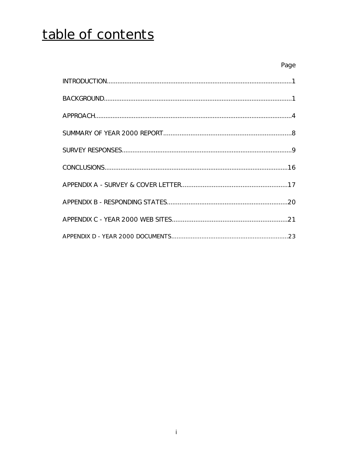# table of contents

| Page |
|------|
|      |
|      |
|      |
|      |
|      |
|      |
|      |
|      |
|      |
|      |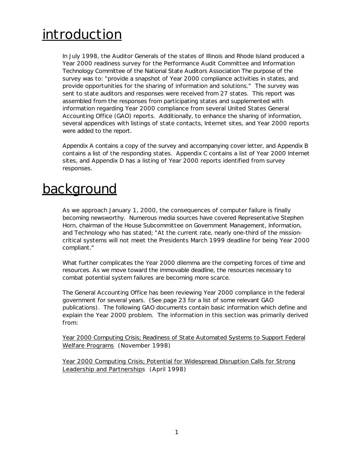# **introduction**

In July 1998, the Auditor Generals of the states of Illinois and Rhode Island produced a Year 2000 readiness survey for the Performance Audit Committee and Information Technology Committee of the National State Auditors Association The purpose of the survey was to: "provide a snapshot of Year 2000 compliance activities in states, and provide opportunities for the sharing of information and solutions." The survey was sent to state auditors and responses were received from 27 states. This report was assembled from the responses from participating states and supplemented with information regarding Year 2000 compliance from several United States General Accounting Office (GAO) reports. Additionally, to enhance the sharing of information, several appendices with listings of state contacts, Internet sites, and Year 2000 reports were added to the report.

Appendix A contains a copy of the survey and accompanying cover letter, and Appendix B contains a list of the responding states. Appendix C contains a list of Year 2000 Internet sites, and Appendix D has a listing of Year 2000 reports identified from survey responses.

# background

As we approach January 1, 2000, the consequences of computer failure is finally becoming newsworthy. Numerous media sources have covered Representative Stephen Horn, chairman of the House Subcommittee on Government Management, Information, and Technology who has stated; "At the current rate, nearly one-third of the missioncritical systems will not meet the Presidents March 1999 deadline for being Year 2000 compliant."

What further complicates the Year 2000 dilemma are the competing forces of time and resources. As we move toward the immovable deadline, the resources necessary to combat potential system failures are becoming more scarce.

The General Accounting Office has been reviewing Year 2000 compliance in the federal government for several years. (See page 23 for a list of some relevant GAO publications). The following GAO documents contain basic information which define and explain the Year 2000 problem. The information in this section was primarily derived from:

Year 2000 Computing Crisis; Readiness of State Automated Systems to Support Federal Welfare Programs (November 1998)

Year 2000 Computing Crisis; Potential for Widespread Disruption Calls for Strong Leadership and Partnerships (April 1998)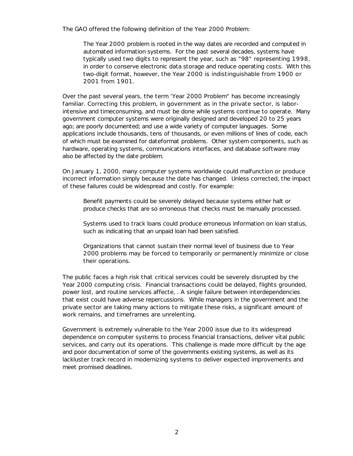The GAO offered the following definition of the Year 2000 Problem:

*The Year* 2000 *problem is rooted in the way dates are recorded and computed in automated information systems. For the past several decades, systems have typically used two digits to represent the year, such as* "98" *representing* 1998, *in order to conserve electronic data storage and reduce operating costs. With this two-digit format, however, the Year* 2000 *is indistinguishable from* 1900 *or* 2001 *from* 1901.

Over the past several years, the term 'Year 2000 Problem" has become increasingly familiar. Correcting this problem, in government as in the private sector, is laborintensive and timeconsuming, and must be done while systems continue to operate. Many government computer systems were originally designed and developed 20 to 25 years ago; are poorly documented; and use a wide variety of computer languages. Some applications include thousands, tens of thousands, or even millions of lines of code, each of which must be examined for dateformat problems. Other system components, such as hardware, operating systems, communications interfaces, and database software may also be affected by the date problem.

On January 1, 2000, many computer systems worldwide could malfunction or produce incorrect information simply because the date has changed. Unless corrected, the impact of these failures could be widespread and costly. For example:

Benefit payments could be severely delayed because systems either halt or produce checks that are so erroneous that checks must be manually processed.

Systems used to track loans could produce erroneous information on loan status, such as indicating that an unpaid loan had been satisfied.

Organizations that cannot sustain their normal level of business due to Year 2000 problems may be forced to temporarily or permanently minimize or close their operations.

The public faces a high risk that critical services could be severely disrupted by the Year 2000 computing crisis. Financial transactions could be delayed, flights grounded, power lost, and routine services affecte, . A single failure between interdependencies that exist could have adverse repercussions. While managers in the government and the private sector are taking many actions to mitigate these risks, a significant amount of work remains, and timeframes are unrelenting.

Government is extremely vulnerable to the Year 2000 issue due to its widespread dependence on computer systems to process financial transactions, deliver vital public services, and carry out its operations. This challenge is made more difficult by the age and poor documentation of some of the governments existing systems, as well as its lackluster track record in modernizing systems to deliver expected improvements and meet promised deadlines.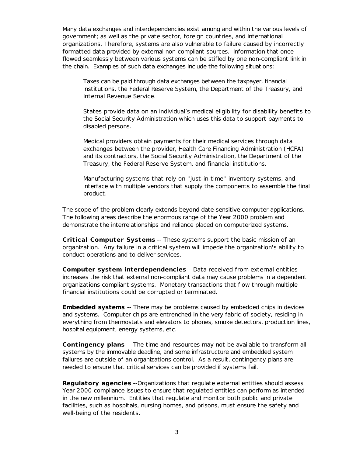Many data exchanges and interdependencies exist among and within the various levels of government; as well as the private sector, foreign countries, and international organizations. Therefore, systems are also vulnerable to failure caused by incorrectly formatted data provided by external non-compliant sources. Information that once flowed seamlessly between various systems can be stifled by one non-compliant link in the chain. Examples of such data exchanges include the following situations:

Taxes can be paid through data exchanges between the taxpayer, financial institutions, the Federal Reserve System, the Department of the Treasury, and Internal Revenue Service.

States provide data on an individual's medical eligibility for disability benefits to the Social Security Administration which uses this data to support payments to disabled persons.

Medical providers obtain payments for their medical services through data exchanges between the provider, Health Care Financing Administration (HCFA) and its contractors, the Social Security Administration, the Department of the Treasury, the Federal Reserve System, and financial institutions.

Manufacturing systems that rely on "just-in-time" inventory systems, and interface with multiple vendors that supply the components to assemble the final product.

The scope of the problem clearly extends beyond date-sensitive computer applications. The following areas describe the enormous range of the Year 2000 problem and demonstrate the interrelationships and reliance placed on computerized systems.

**Critical Computer Systems** -- These systems support the basic mission of an organization. Any failure in a critical system will impede the organization's ability to conduct operations and to deliver services.

**Computer system interdependencies** -- Data received from external entities increases the risk that external non-compliant data may cause problems in a dependent organizations compliant systems. Monetary transactions that flow through multiple financial institutions could be corrupted or terminated.

**Embedded systems** -- There may be problems caused by embedded chips in devices and systems. Computer chips are entrenched in the very fabric of society, residing in everything from thermostats and elevators to phones, smoke detectors, production lines, hospital equipment, energy systems, etc.

**Contingency plans** -- The time and resources may not be available to transform all systems by the immovable deadline, and some infrastructure and embedded system failures are outside of an organizations control. As a result, contingency plans are needed to ensure that critical services can be provided if systems fail.

**Regulatory agencies** --Organizations that regulate external entities should assess Year 2000 compliance issues to ensure that regulated entities can perform as intended in the new millennium. Entities that regulate and monitor both public and private facilities, such as hospitals, nursing homes, and prisons, must ensure the safety and well-being of the residents.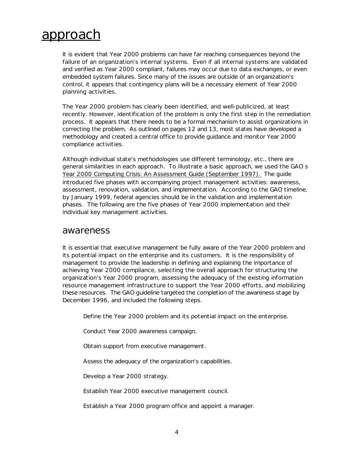# approach

It is evident that Year 2000 problems can have far reaching consequences beyond the failure of an organization's internal systems. Even if all internal systems are validated and verified as Year 2000 compliant, failures may occur due to data exchanges, or even embedded system failures. Since many of the issues are outside of an organization's control, it appears that contingency plans will be a necessary element of Year 2000 planning activities.

The Year 2000 problem has clearly been identified, and well-publicized, at least recently. However, identification of the problem is only the first step in the remediation process. It appears that there needs to be a formal mechanism to assist organizations in correcting the problem. As outlined on pages 12 and 13, most states have developed a methodology and created a central office to provide guidance and monitor Year 2000 compliance activities.

Although individual state's methodologies use different terminology, etc., there are general similarities in each approach. To illustrate a basic approach, we used the GAO s Year 2000 Computing Crisis: An Assessment Guide (September 1997). The guide introduced five phases with accompanying project management activities: awareness, assessment, renovation, validation, and implementation. According to the GAO timeline, by January 1999, federal agencies should be in the validation and implementation phases. The following are the five phases of Year 2000 implementation and their individual key management activities.

## awareness

It is essential that executive management be fully aware of the Year 2000 problem and its potential impact on the enterprise and its customers. It is the responsibility of management to provide the leadership in defining and explaining the importance of achieving Year 2000 compliance, selecting the overall approach for structuring the organization's Year 2000 program, assessing the adequacy of the existing information resource management infrastructure to support the Year 2000 efforts, and mobilizing these resources. The GAO guideline targeted the completion of the awareness stage by December 1996, and included the following steps.

Define the Year 2000 problem and its potential impact on the enterprise.

Conduct Year 2000 awareness campaign.

Obtain support from executive management.

Assess the adequacy of the organization's capabilities.

Develop a Year 2000 strategy.

Establish Year 2000 executive management council.

Establish a Year 2000 program office and appoint a manager.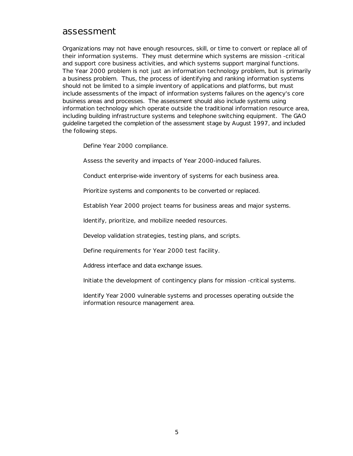# assessment

Organizations may not have enough resources, skill, or time to convert or replace all of their information systems. They must determine which systems are mission -critical and support core business activities, and which systems support marginal functions. The Year 2000 problem is not just an information technology problem, but is primarily a business problem. Thus, the process of identifying and ranking information systems should not be limited to a simple inventory of applications and platforms, but must include assessments of the impact of information systems failures on the agency's core business areas and processes. The assessment should also include systems using information technology which operate outside the traditional information resource area, including building infrastructure systems and telephone switching equipment. The GAO guideline targeted the completion of the assessment stage by August 1997, and included the following steps.

Define Year 2000 compliance.

Assess the severity and impacts of Year 2000-induced failures.

Conduct enterprise-wide inventory of systems for each business area.

Prioritize systems and components to be converted or replaced.

Establish Year 2000 project teams for business areas and major systems.

Identify, prioritize, and mobilize needed resources.

Develop validation strategies, testing plans, and scripts.

Define requirements for Year 2000 test facility.

Address interface and data exchange issues.

Initiate the development of contingency plans for mission -critical systems.

Identify Year 2000 vulnerable systems and processes operating outside the information resource management area.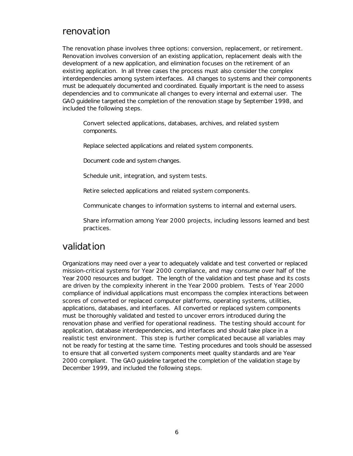# renovation

The renovation phase involves three options: conversion, replacement, or retirement. Renovation involves conversion of an existing application, replacement deals with the development of a new application, and elimination focuses on the retirement of an existing application. In all three cases the process must also consider the complex interdependencies among system interfaces. All changes to systems and their components must be adequately documented and coordinated. Equally important is the need to assess dependencies and to communicate all changes to every internal and external user. The GAO guideline targeted the completion of the renovation stage by September 1998, and included the following steps.

Convert selected applications, databases, archives, and related system components.

Replace selected applications and related system components.

Document code and system changes.

Schedule unit, integration, and system tests.

Retire selected applications and related system components.

Communicate changes to information systems to internal and external users.

Share information among Year 2000 projects, including lessons learned and best practices.

# validation

Organizations may need over a year to adequately validate and test converted or replaced mission-critical systems for Year 2000 compliance, and may consume over half of the Year 2000 resources and budget. The length of the validation and test phase and its costs are driven by the complexity inherent in the Year 2000 problem. Tests of Year 2000 compliance of individual applications must encompass the complex interactions between scores of converted or replaced computer platforms, operating systems, utilities, applications, databases, and interfaces. All converted or replaced system components must be thoroughly validated and tested to uncover errors introduced during the renovation phase and verified for operational readiness. The testing should account for application, database interdependencies, and interfaces and should take place in a realistic test environment. This step is further complicated because all variables may not be ready for testing at the same time. Testing procedures and tools should be assessed to ensure that all converted system components meet quality standards and are Year 2000 compliant. The GAO guideline targeted the completion of the validation stage by December 1999, and included the following steps.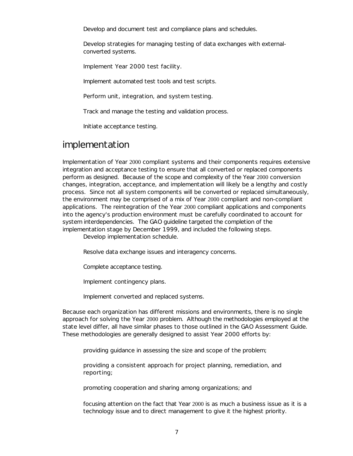Develop and document test and compliance plans and schedules.

Develop strategies for managing testing of data exchanges with externalconverted systems.

Implement Year 2000 test facility.

Implement automated test tools and test scripts.

Perform unit, integration, and system testing.

Track and manage the testing and validation process.

Initiate acceptance testing.

# implementation

Implementation of Year 2000 compliant systems and their components requires extensive integration and acceptance testing to ensure that all converted or replaced components perform as designed. Because of the scope and complexity of the Year 2000 conversion changes, integration, acceptance, and implementation will likely be a lengthy and costly process. Since not all system components will be converted or replaced simultaneously, the environment may be comprised of a mix of Year 2000 compliant and non-compliant applications. The reintegration of the Year 2000 compliant applications and components into the agency's production environment must be carefully coordinated to account for system interdependencies. The GAO guideline targeted the completion of the implementation stage by December 1999, and included the following steps.

Develop implementation schedule.

Resolve data exchange issues and interagency concerns.

Complete acceptance testing.

Implement contingency plans.

Implement converted and replaced systems.

Because each organization has different missions and environments, there is no single approach for solving the Year 2000 problem. Although the methodologies employed at the state level differ, all have similar phases to those outlined in the GAO Assessment Guide. These methodologies are generally designed to assist Year 2000 efforts by:

providing guidance in assessing the size and scope of the problem;

providing a consistent approach for project planning, remediation, and reporting;

promoting cooperation and sharing among organizations; and

focusing attention on the fact that Year 2000 is as much a business issue as it is a technology issue and to direct management to give it the highest priority.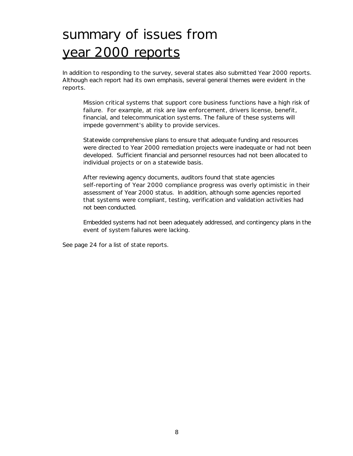# summary of issues from year 2000 reports

In addition to responding to the survey, several states also submitted Year 2000 reports. Although each report had its own emphasis, several general themes were evident in the reports.

Mission critical systems that support core business functions have a high risk of failure. For example, at risk are law enforcement, drivers license, benefit, financial, and telecommunication systems. The failure of these systems will impede government's ability to provide services.

Statewide comprehensive plans to ensure that adequate funding and resources were directed to Year 2000 remediation projects were inadequate or had not been developed. Sufficient financial and personnel resources had not been allocated to individual projects or on a statewide basis.

After reviewing agency documents, auditors found that state agencies self-reporting of Year 2000 compliance progress was overly optimistic in their assessment of Year 2000 status. In addition, although some agencies reported that systems were compliant, testing, verification and validation activities had not been conducted.

Embedded systems had not been adequately addressed, and contingency plans in the event of system failures were lacking.

See page 24 for a list of state reports.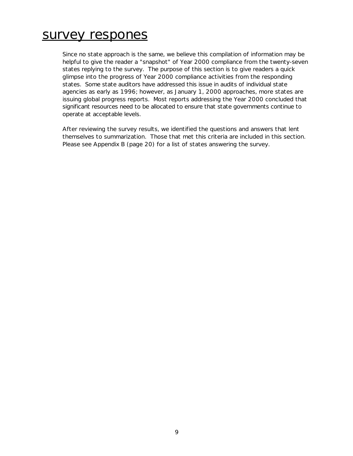# survey respones

Since no state approach is the same, we believe this compilation of information may be helpful to give the reader a "snapshot" of Year 2000 compliance from the twenty-seven states replying to the survey. The purpose of this section is to give readers a quick glimpse into the progress of Year 2000 compliance activities from the responding states. Some state auditors have addressed this issue in audits of individual state agencies as early as 1996; however, as January 1, 2000 approaches, more states are issuing global progress reports. Most reports addressing the Year 2000 concluded that significant resources need to be allocated to ensure that state governments continue to operate at acceptable levels.

After reviewing the survey results, we identified the questions and answers that lent themselves to summarization. Those that met this criteria are included in this section. Please see Appendix B (page 20) for a list of states answering the survey.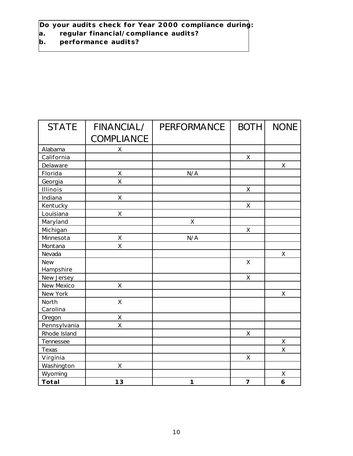**Do your audits check for Year 2000 compliance during:**

- **a. regular financial/compliance audits?**
- **b. performance audits?**

| <b>STATE</b> | FINANCIAL/        | <b>PERFORMANCE</b> | <b>BOTH</b>    | <b>NONE</b> |
|--------------|-------------------|--------------------|----------------|-------------|
|              | <b>COMPLIANCE</b> |                    |                |             |
| Alabama      | X                 |                    |                |             |
| California   |                   |                    | $\mathsf X$    |             |
| Delaware     |                   |                    |                | $\mathsf X$ |
| Florida      | X                 | N/A                |                |             |
| Georgia      | $\mathsf{X}$      |                    |                |             |
| Illinois     |                   |                    | $\mathsf X$    |             |
| Indiana      | $\mathsf{X}$      |                    |                |             |
| Kentucky     |                   |                    | X              |             |
| Louisiana    | Χ                 |                    |                |             |
| Maryland     |                   | X                  |                |             |
| Michigan     |                   |                    | X              |             |
| Minnesota    | X                 | N/A                |                |             |
| Montana      | X                 |                    |                |             |
| Nevada       |                   |                    |                | X           |
| <b>New</b>   |                   |                    | $\mathsf{X}$   |             |
| Hampshire    |                   |                    |                |             |
| New Jersey   |                   |                    | $\mathsf X$    |             |
| New Mexico   | X                 |                    |                |             |
| New York     |                   |                    |                | X           |
| North        | X                 |                    |                |             |
| Carolina     |                   |                    |                |             |
| Oregon       | X                 |                    |                |             |
| Pennsylvania | X                 |                    |                |             |
| Rhode Island |                   |                    | X              |             |
| Tennessee    |                   |                    |                | $\mathsf X$ |
| Texas        |                   |                    |                | X           |
| Virginia     |                   |                    | X              |             |
| Washington   | Χ                 |                    |                |             |
| Wyoming      |                   |                    |                | Χ           |
| Total        | 13                | 1                  | $\overline{7}$ | 6           |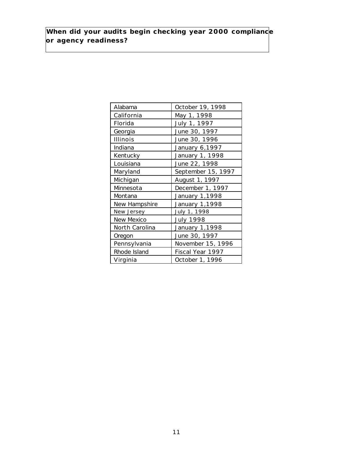**When did your audits begin checking year 2000 compliance or agency readiness?**

| Alabama        | October 19, 1998   |
|----------------|--------------------|
| California     | May 1, 1998        |
| Florida        | July 1, 1997       |
| Georgia        | June 30, 1997      |
| Illinois       | June 30, 1996      |
| Indiana        | January 6,1997     |
| Kentucky       | January 1, 1998    |
| Louisiana      | June 22, 1998      |
| Maryland       | September 15, 1997 |
| Michigan       | August 1, 1997     |
| Minnesota      | December 1, 1997   |
| Montana        | January 1,1998     |
| New Hampshire  | January 1,1998     |
| New Jersey     | July 1, 1998       |
| New Mexico     | <b>July 1998</b>   |
| North Carolina | January 1,1998     |
| Oregon         | June 30, 1997      |
| Pennsylvania   | November 15, 1996  |
| Rhode Island   | Fiscal Year 1997   |
| Virginia       | October 1, 1996    |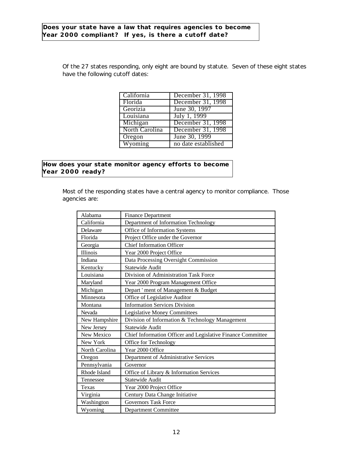Of the 27 states responding, only eight are bound by statute. Seven of these eight states have the following cutoff dates:

| California     | December 31, 1998   |
|----------------|---------------------|
| Florida        | December 31, 1998   |
| Georizia       | June 30, 1997       |
| Louisiana      | July 1, 1999        |
| Michigan       | December 31, 1998   |
| North Carolina | December 31, 1998   |
| Oregon         | June 30, 1999       |
| Wyoming        | no date established |

**How does your state monitor agency efforts to become Year 2000 ready?**

> Most of the responding states have a central agency to monitor compliance. Those agencies are:

| Alabama        | <b>Finance Department</b>                                   |
|----------------|-------------------------------------------------------------|
| California     | Department of Information Technology                        |
| Delaware       | Office of Information Systems                               |
| Florida        | Project Office under the Governor                           |
| Georgia        | <b>Chief Information Officer</b>                            |
| Illinois       | Year 2000 Project Office                                    |
| Indiana        | Data Processing Oversight Commission                        |
| Kentucky       | <b>Statewide Audit</b>                                      |
| Louisiana      | Division of Administration Task Force                       |
| Maryland       | Year 2000 Program Management Office                         |
| Michigan       | Depart ' ment of Management & Budget                        |
| Minnesota      | Office of Legislative Auditor                               |
| Montana        | <b>Information Services Division</b>                        |
| Nevada         | <b>Legislative Money Committees</b>                         |
| New Hampshire  | Division of Information & Technology Management             |
| New Jersey     | <b>Statewide Audit</b>                                      |
| New Mexico     | Chief Information Officer and Legislative Finance Committee |
| New York       | Office for Technology                                       |
| North Carolina | Year 2000 Office                                            |
| Oregon         | Department of Administrative Services                       |
| Pennsylvania   | Governor                                                    |
| Rhode Island   | Office of Library & Information Services                    |
| Tennessee      | Statewide Audit                                             |
| Texas          | Year 2000 Project Office                                    |
| Virginia       | Century Data Change Initiative                              |
| Washington     | <b>Governors Task Force</b>                                 |
| Wyoming        | <b>Department Committee</b>                                 |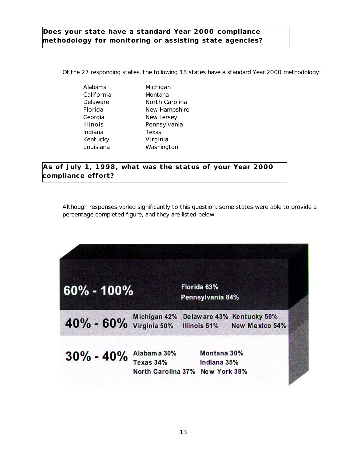## **Does your state have a standard Year 2000 compliance methodology for monitoring or assisting state agencies?**

Of the 27 responding states, the following 18 states have a standard Year 2000 methodology:

| Alabama         | Michio |
|-----------------|--------|
| California      | Monta  |
| Delaware        | North  |
| Florida         | New F  |
| Georgia         | New J  |
| <b>Illinois</b> | Penns  |
| Indiana         | Texas  |
| Kentucky        | Virgir |
| Louisiana       | Washi  |
|                 |        |

Alabama Michigan California Montana Delaware **North Carolina** Florida New Hampshire Georgia New Jersey Illinois Pennsylvania Kentucky Virginia Louisiana Washington

**As of July 1, 1998, what was the status of your Year 2000 compliance effort?**

Although responses varied significantly to this question, some states were able to provide a percentage completed figure, and they are listed below.

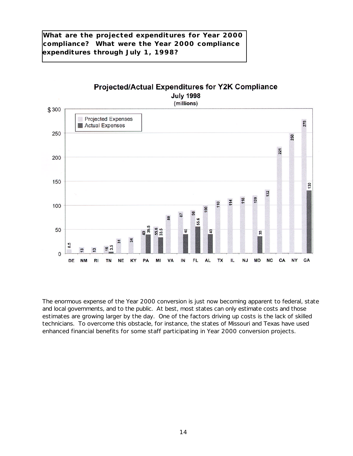**What are the projected expenditures for Year 2000 compliance? What were the Year 2000 compliance expenditures through July 1, 1998?**



The enormous expense of the Year 2000 conversion is just now becoming apparent to federal, state and local governments, and to the public. At best, most states can only estimate costs and those estimates are growing larger by the day. One of the factors driving up costs is the lack of skilled technicians. To overcome this obstacle, for instance, the states of Missouri and Texas have used enhanced financial benefits for some staff participating in Year 2000 conversion projects.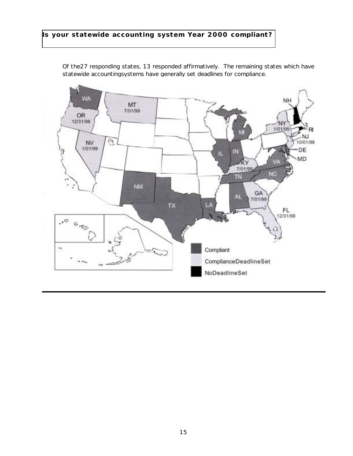## **Is your statewide accounting system Year 2000 compliant?**



Of the27 responding states, 13 responded affirmatively. The remaining states which have statewide accountingsystems have generally set deadlines for compliance.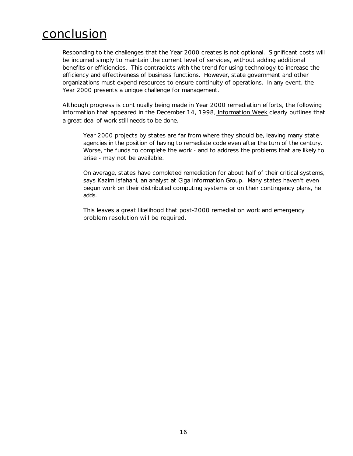# conclusion

Responding to the challenges that the Year 2000 creates is not optional. Significant costs will be incurred simply to maintain the current level of services, without adding additional benefits or efficiencies. This contradicts with the trend for using technology to increase the efficiency and effectiveness of business functions. However, state government and other organizations must expend resources to ensure continuity of operations. In any event, the Year 2000 presents a unique challenge for management.

Although progress is continually being made in Year 2000 remediation efforts, the following information that appeared in the December 14, 1998, Information Week clearly outlines that a great deal of work still needs to be done.

*Year 2000 projects by states are far from where they should be, leaving many state agencies in the position of having to remediate code even after the turn of the century. Worse, the funds to complete the work - and to address the problems that are likely to arise - may not be available.*

*On average, states have completed remediation for about half of their critical systems, says Kazim Isfahani, an analyst at Giga Information Group. Many states haven't even begun work on their distributed computing systems or on their contingency plans, he adds.*

*This leaves a great likelihood that post-2000 remediation work and emergency problem resolution will be required.*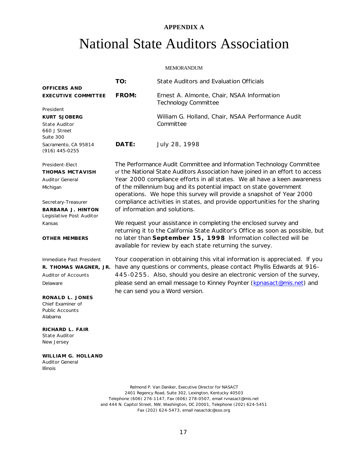#### **APPENDIX A**

# National State Auditors Association

#### MEMORANDUM

| OFFICERS AND                                                                                                                       | TO:                                                                                                                                                                                                                                                                                                                                                                                                                                                                                            | <b>State Auditors and Evaluation Officials</b>                                                                                                                                                                                                                                                                                              |
|------------------------------------------------------------------------------------------------------------------------------------|------------------------------------------------------------------------------------------------------------------------------------------------------------------------------------------------------------------------------------------------------------------------------------------------------------------------------------------------------------------------------------------------------------------------------------------------------------------------------------------------|---------------------------------------------------------------------------------------------------------------------------------------------------------------------------------------------------------------------------------------------------------------------------------------------------------------------------------------------|
| <b>EXECUTIVE COMMITTEE</b>                                                                                                         | FROM:                                                                                                                                                                                                                                                                                                                                                                                                                                                                                          | Ernest A. Almonte, Chair, NSAA Information<br><b>Technology Committee</b>                                                                                                                                                                                                                                                                   |
| President<br><b>KURT SJOBERG</b><br>State Auditor<br>660 J Street<br>Suite 300                                                     |                                                                                                                                                                                                                                                                                                                                                                                                                                                                                                | William G. Holland, Chair, NSAA Performance Audit<br>Committee                                                                                                                                                                                                                                                                              |
| Sacramento, CA 95814<br>$(916)$ 445-0255                                                                                           | DATE:                                                                                                                                                                                                                                                                                                                                                                                                                                                                                          | July 28, 1998                                                                                                                                                                                                                                                                                                                               |
| President-Elect<br><b>THOMAS MCTAVISH</b><br><b>Auditor General</b><br>Michigan<br>Secretary-Treasurer<br><b>BARBARA J. HINTON</b> | The Performance Audit Committee and Information Technology Committee<br>of the National State Auditors Association have joined in an effort to access<br>Year 2000 compliance efforts in all states. We all have a keen awareness<br>of the millennium bug and its potential impact on state government<br>operations. We hope this survey will provide a snapshot of Year 2000<br>compliance activities in states, and provide opportunities for the sharing<br>of information and solutions. |                                                                                                                                                                                                                                                                                                                                             |
| Legislative Post Auditor                                                                                                           |                                                                                                                                                                                                                                                                                                                                                                                                                                                                                                |                                                                                                                                                                                                                                                                                                                                             |
| Kansas                                                                                                                             | We request your assistance in completing the enclosed survey and<br>returning it to the California State Auditor's Office as soon as possible, but                                                                                                                                                                                                                                                                                                                                             |                                                                                                                                                                                                                                                                                                                                             |
| <b>OTHER MEMBERS</b>                                                                                                               |                                                                                                                                                                                                                                                                                                                                                                                                                                                                                                | no later than September 15, 1998 Information collected will be<br>available for review by each state returning the survey.                                                                                                                                                                                                                  |
| Immediate Past President<br>R. THOMAS WAGNER, JR.<br>Auditor of Accounts<br>Delaware                                               |                                                                                                                                                                                                                                                                                                                                                                                                                                                                                                | Your cooperation in obtaining this vital information is appreciated. If you<br>have any questions or comments, please contact Phyllis Edwards at 916-<br>445-0255. Also, should you desire an electronic version of the survey,<br>please send an email message to Kinney Poynter (kpnasact@mis.net) and<br>he can send you a Word version. |
| RONALD L. JONES<br>Chief Examiner of<br><b>Public Accounts</b><br>Alabama                                                          |                                                                                                                                                                                                                                                                                                                                                                                                                                                                                                |                                                                                                                                                                                                                                                                                                                                             |
| RICHARD L. FAIR<br><b>State Auditor</b><br>New Jersey                                                                              |                                                                                                                                                                                                                                                                                                                                                                                                                                                                                                |                                                                                                                                                                                                                                                                                                                                             |
| WILLIAM G. HOLLAND<br><b>Auditor General</b><br>Illinois                                                                           |                                                                                                                                                                                                                                                                                                                                                                                                                                                                                                |                                                                                                                                                                                                                                                                                                                                             |
|                                                                                                                                    |                                                                                                                                                                                                                                                                                                                                                                                                                                                                                                |                                                                                                                                                                                                                                                                                                                                             |

Relmond P. Van Daniker, Executive Director for NASACT 2401 Regency Road, Suite 302, Lexington, Kentucky 40503 Telephone (606) 276-1147, Fax (606) 278-0507, email rvnasact@mis.net and 444 N. Capitol Street, NW, Washington, DC 20001, Telephone (202) 624-5451 Fax (202) 624-5473, email nasactdc@sso.org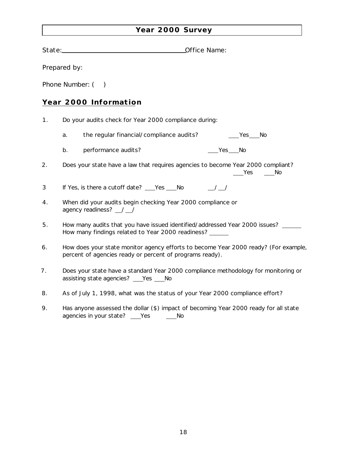# **Year 2000 Survey**

|    | State: Office Name:                                                                                                                             |  |  |  |  |
|----|-------------------------------------------------------------------------------------------------------------------------------------------------|--|--|--|--|
|    | Prepared by:                                                                                                                                    |  |  |  |  |
|    |                                                                                                                                                 |  |  |  |  |
|    | Phone Number: (<br>$\rightarrow$                                                                                                                |  |  |  |  |
|    | Year 2000 Information                                                                                                                           |  |  |  |  |
| 1. | Do your audits check for Year 2000 compliance during:                                                                                           |  |  |  |  |
|    | the regular financial/compliance audits?<br>Yes No<br>a.                                                                                        |  |  |  |  |
|    | performance audits?<br>Yes No<br>b.                                                                                                             |  |  |  |  |
| 2. | Does your state have a law that requires agencies to become Year 2000 compliant?<br>Yes No                                                      |  |  |  |  |
| 3  | If Yes, is there a cutoff date? ___Yes ___No<br>$\frac{1}{2}$                                                                                   |  |  |  |  |
| 4. | When did your audits begin checking Year 2000 compliance or<br>agency readiness? _/_/                                                           |  |  |  |  |
| 5. | How many audits that you have issued identified/addressed Year 2000 issues?<br>How many findings related to Year 2000 readiness? ______         |  |  |  |  |
| 6. | How does your state monitor agency efforts to become Year 2000 ready? (For example,<br>percent of agencies ready or percent of programs ready). |  |  |  |  |
| 7. | Does your state have a standard Year 2000 compliance methodology for monitoring or<br>assisting state agencies?<br>Yes<br>No                    |  |  |  |  |

- 8. As of July 1, 1998, what was the status of your Year 2000 compliance effort?
- 9. Has anyone assessed the dollar (\$) impact of becoming Year 2000 ready for all state agencies in your state? \_\_\_ Yes \_\_\_\_\_ No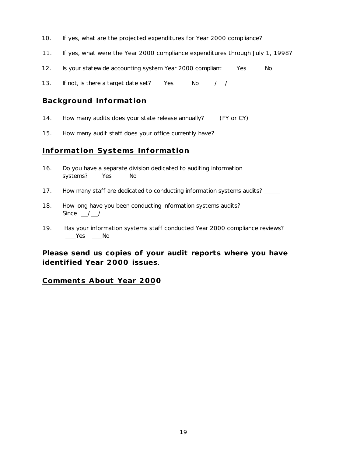- 10. If yes, what are the projected expenditures for Year 2000 compliance?
- 11. If yes, what were the Year 2000 compliance expenditures through July 1, 1998?
- 12. Is your statewide accounting system Year 2000 compliant \_\_\_\_Yes \_\_\_\_\_No
- 13. If not, is there a target date set? Yes No / /

### **Background Information**

- 14. How many audits does your state release annually? \_\_ (FY or CY)
- 15. How many audit staff does your office currently have?

#### **Information Systems Information**

- 16. Do you have a separate division dedicated to auditing information systems? \_\_\_Yes \_\_\_ No
- 17. How many staff are dedicated to conducting information systems audits? \_\_\_\_\_
- 18. How long have you been conducting information systems audits? Since  $\frac{\ }{\ }$  /  $\frac{\ }{\ }$
- 19. Has your information systems staff conducted Year 2000 compliance reviews?  $Yes$  Mo

# *Please send us copies of your audit reports where you have identified Year 2000 issues.*

## **Comments About Year 2000**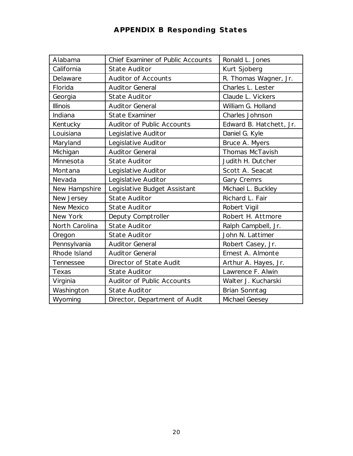# **APPENDIX B Responding States**

| Alabama          | <b>Chief Examiner of Public Accounts</b> | Ronald L. Jones         |
|------------------|------------------------------------------|-------------------------|
| California       | <b>State Auditor</b>                     | Kurt Sjoberg            |
| Delaware         | <b>Auditor of Accounts</b>               | R. Thomas Wagner, Jr.   |
| Florida          | <b>Auditor General</b>                   | Charles L. Lester       |
| Georgia          | <b>State Auditor</b>                     | Claude L. Vickers       |
| <b>Illinois</b>  | <b>Auditor General</b>                   | William G. Holland      |
| Indiana          | <b>State Examiner</b>                    | Charles Johnson         |
| Kentucky         | <b>Auditor of Public Accounts</b>        | Edward B. Hatchett, Jr. |
| Louisiana        | Legislative Auditor                      | Daniel G. Kyle          |
| Maryland         | Legislative Auditor                      | Bruce A. Myers          |
| Michigan         | <b>Auditor General</b>                   | <b>Thomas McTavish</b>  |
| Minnesota        | <b>State Auditor</b>                     | Judith H. Dutcher       |
| Montana          | Legislative Auditor                      | Scott A. Seacat         |
| Nevada           | Legislative Auditor                      | Gary Cremrs             |
| New Hampshire    | Legislative Budget Assistant             | Michael L. Buckley      |
| New Jersey       | <b>State Auditor</b>                     | Richard L. Fair         |
| New Mexico       | <b>State Auditor</b>                     | Robert Vigil            |
| New York         | Deputy Comptroller                       | Robert H. Attmore       |
| North Carolina   | <b>State Auditor</b>                     | Ralph Campbell, Jr.     |
| Oregon           | <b>State Auditor</b>                     | John N. Lattimer        |
| Pennsylvania     | <b>Auditor General</b>                   | Robert Casey, Jr.       |
| Rhode Island     | <b>Auditor General</b>                   | Ernest A. Almonte       |
| <b>Tennessee</b> | Director of State Audit                  | Arthur A. Hayes, Jr.    |
| Texas            | <b>State Auditor</b>                     | Lawrence F. Alwin       |
| Virginia         | Auditor of Public Accounts               | Walter J. Kucharski     |
| Washington       | <b>State Auditor</b>                     | Brian Sonntag           |
| Wyoming          | Director, Department of Audit            | Michael Geesey          |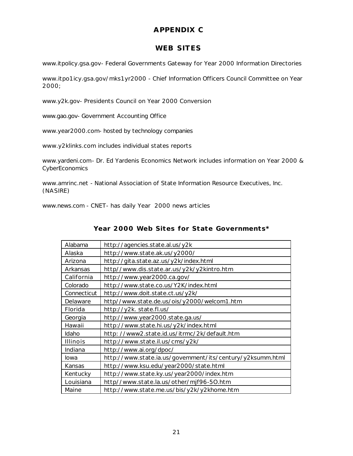# **APPENDIX C**

# **WEB SITES**

*www.itpolicy.gsa.gov*- Federal Governments Gateway for Year 2000 Information Directories

*www.itpo1icy.gsa.gov/mks1yr2000 -* Chief Information Officers Council Committee on Year 2000;

*www.y2k.gov*- Presidents Council on Year 2000 Conversion

*www.gao.gov*- Government Accounting Office

*www.year2000.com*- hosted by technology companies

*www.y2klinks.com* includes individual states reports

*www.yardeni.com*- Dr. Ed Yardenis Economics Network includes information on Year 2000 & **CyberEconomics** 

*www.amrinc.net* - National Association of State Information Resource Executives, Inc. (NASIRE)

*www.news.com* - CNET- has daily Year 2000 news articles

### **Year 2000 Web Sites for State Governments\***

| Alabama     | http://agencies.state.al.us/y2k                           |
|-------------|-----------------------------------------------------------|
| Alaska      | http://www.state.ak.us/y2000/                             |
| Arizona     | http://gita.state.az.us/y2k/index.html                    |
| Arkansas    | http//www.dis.state.ar.us/y2k/y2kintro.htm                |
| California  | http://www.year2000.ca.gov/                               |
| Colorado    | http://www.state.co.us/Y2K/index.html                     |
| Connecticut | http://www.doit.state.ct.us/y2k/                          |
| Delaware    | http//www.state.de.us/ois/y2000/welcom1.htm               |
| Florida     | http://y2k. state.fl.us/                                  |
| Georgia     | http://www.year2000.state.ga.us/                          |
| Hawaii      | http://www.state.hi.us/y2k/index.html                     |
| Idaho       | http://www2.state.id.us/itrmc/2k/default.htm              |
| Illinois    | http://www.state.il.us/cms/y2k/                           |
| Indiana     | http://www.ai.org/dpoc/                                   |
| lowa        | http://www.state.ia.us/govemment/its/century/y2ksumm.html |
| Kansas      | http://www.ksu.edu/year2000/state.html                    |
| Kentucky    | http://www.state.ky.us/year2000/index.htm                 |
| Louisiana   | http//www.state.la.us/other/mjf96-50.htm                  |
| Maine       | http://www.state.me.us/bis/y2k/y2khome.htm                |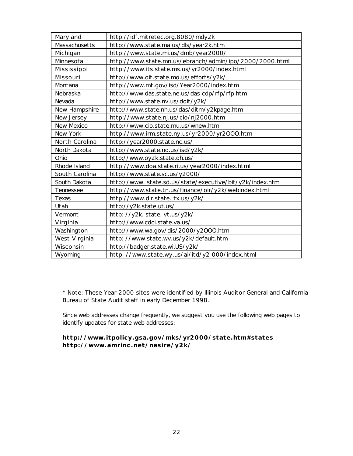| Maryland          | http://idf.mitretec.org.8080/mdy2k                       |
|-------------------|----------------------------------------------------------|
| Massachusetts     | http://www.state.ma.us/dls/year2k.htm                    |
| Michigan          | http://www.state.mi.us/dmb/year2000/                     |
| Minnesota         | http://www.state.mn.us/ebranch/admin/ipo/2000/2000.html  |
| Mississippi       | http://www.its.state.ms.us/yr2000/index.html             |
| Missouri          | http://www.oit.state.mo.us/efforts/y2k/                  |
| Montana           | http://www.mt.gov/isd/Year2000/index.htm                 |
| Nebraska          | http://www.das.state.ne.us/das cdp/rfp/rfp.htm           |
| Nevada            | http://www.state.nv.us/doit/y2k/                         |
| New Hampshire     | http://www.state.nh.us/das/ditm/y2kpage.htm              |
| New Jersey        | http://www.state.nj.us/cio/nj2000.htm                    |
| <b>New Mexico</b> | http://www.cio.state.mu.us/wnew.htm                      |
| New York          | http://www.irm.state.ny.us/yr2000/yr2000.htm             |
| North Carolina    | http://year2000.state.nc.us/                             |
| North Dakota      | http://www.state.nd.us/isd/y2k/                          |
| Ohio              | http://www.oy2k.state.oh.us/                             |
| Rhode Island      | http://www.doa.state.ri.us/year2000/index.html           |
| South Carolina    | http://www.state.sc.us/y2000/                            |
| South Dakota      | http://www.state.sd.us/state/executive/bit/y2k/index.htm |
| Tennessee         | http://www.state.tn.us/finance/oir/y2k/webindex.html     |
| Texas             | http://www.dir.state.tx.us/y2k/                          |
| Utah              | http://y2k.state.ut.us/                                  |
| Vermont           | http: //y2k. state. vt.us/y2k/                           |
| Virginia          | http://www.cdci.state.va.us/                             |
| Washington        | http://www.wa.gov/dis/2000/y2000.htm                     |
| West Virginia     | http://www.state.wv.us/y2k/default.htm                   |
| Wisconsin         | http://badger.state.wi.US/y2k/                           |
| Wyoming           | http://www.state.wy.us/ai/itd/y2 000/index.html          |

\* Note: These Year 2000 sites were identified by Illinois Auditor General and California Bureau of State Audit staff in early December 1998.

Since web addresses change frequently, we suggest you use the following web pages to identify updates for state web addresses:

**http://www.itpolicy.gsa.gov/mks/yr2000/state.htm#states http://www.amrinc.net/nasire/y2k/**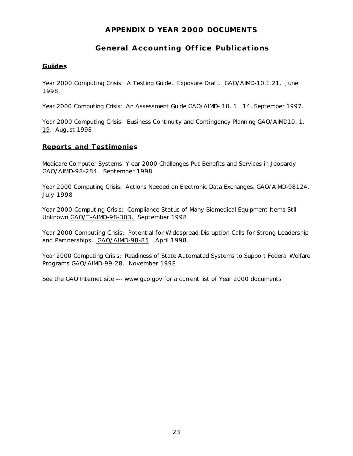# **APPENDIX D YEAR 2000 DOCUMENTS**

# **General Accounting Office Publications**

#### **Guides**

Year 2000 Computing Crisis: A Testing Guide. Exposure Draft. GAO/AIMD-10.1.21. June 1998.

Year 2000 Computing Crisis: An Assessment Guide GAO/AIMD- 10. 1. 14. September 1997.

Year 2000 Computing Crisis: Business Continuity and Contingency Planning GAO/AIMD10. 1. 19. August 1998

#### **Reports and Testimonies**

Medicare Computer Systems: Y ear 2000 Challenges Put Benefits and Services in Jeopardy GAO/AIMD-98-284. September 1998

Year 2000 Computing Crisis: Actions Needed on Electronic Data Exchanges. GAO/AIMD-98124. July 1998

Year 2000 Computing Crisis: Compliance Status of Many Biomedical Equipment Items Still Unknown GAO/T-AIMD-98-303. September 1998

Year 2000 Computing Crisis: Potential for Widespread Disruption Calls for Strong Leadership and Partnerships. GAO/AIMD-98-85. April 1998.

Year 2000 Computing Crisis: Readiness of State Automated Systems to Support Federal Welfare Programs GAO/AIMD-99-28. November 1998

See the GAO Internet site --- www.gao.gov for a current list of Year 2000 documents